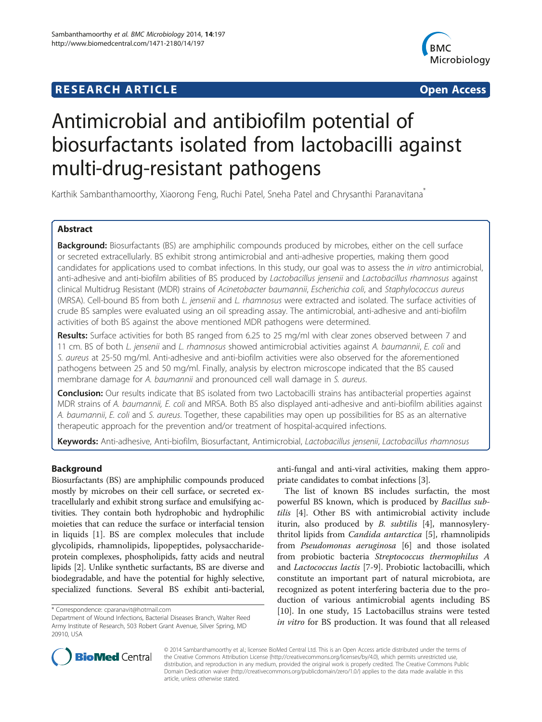## **RESEARCH ARTICLE Example 2008 CONSIDERING A RESEARCH ARTICLE**



# Antimicrobial and antibiofilm potential of biosurfactants isolated from lactobacilli against multi-drug-resistant pathogens

Karthik Sambanthamoorthy, Xiaorong Feng, Ruchi Patel, Sneha Patel and Chrysanthi Paranavitana<sup>\*</sup>

### Abstract

Background: Biosurfactants (BS) are amphiphilic compounds produced by microbes, either on the cell surface or secreted extracellularly. BS exhibit strong antimicrobial and anti-adhesive properties, making them good candidates for applications used to combat infections. In this study, our goal was to assess the in vitro antimicrobial, anti-adhesive and anti-biofilm abilities of BS produced by Lactobacillus jensenii and Lactobacillus rhamnosus against clinical Multidrug Resistant (MDR) strains of Acinetobacter baumannii, Escherichia coli, and Staphylococcus aureus (MRSA). Cell-bound BS from both L. jensenii and L. rhamnosus were extracted and isolated. The surface activities of crude BS samples were evaluated using an oil spreading assay. The antimicrobial, anti-adhesive and anti-biofilm activities of both BS against the above mentioned MDR pathogens were determined.

Results: Surface activities for both BS ranged from 6.25 to 25 mg/ml with clear zones observed between 7 and 11 cm. BS of both L. jensenii and L. rhamnosus showed antimicrobial activities against A. baumannii, E. coli and S. aureus at 25-50 mg/ml. Anti-adhesive and anti-biofilm activities were also observed for the aforementioned pathogens between 25 and 50 mg/ml. Finally, analysis by electron microscope indicated that the BS caused membrane damage for A. baumannii and pronounced cell wall damage in S. aureus.

Conclusion: Our results indicate that BS isolated from two Lactobacilli strains has antibacterial properties against MDR strains of A. baumannii, E. coli and MRSA. Both BS also displayed anti-adhesive and anti-biofilm abilities against A. baumannii, E. coli and S. aureus. Together, these capabilities may open up possibilities for BS as an alternative therapeutic approach for the prevention and/or treatment of hospital-acquired infections.

Keywords: Anti-adhesive, Anti-biofilm, Biosurfactant, Antimicrobial, Lactobacillus jensenii, Lactobacillus rhamnosus

### Background

Biosurfactants (BS) are amphiphilic compounds produced mostly by microbes on their cell surface, or secreted extracellularly and exhibit strong surface and emulsifying activities. They contain both hydrophobic and hydrophilic moieties that can reduce the surface or interfacial tension in liquids [[1](#page-7-0)]. BS are complex molecules that include glycolipids, rhamnolipids, lipopeptides, polysaccharideprotein complexes, phospholipids, fatty acids and neutral lipids [\[2](#page-7-0)]. Unlike synthetic surfactants, BS are diverse and biodegradable, and have the potential for highly selective, specialized functions. Several BS exhibit anti-bacterial,

anti-fungal and anti-viral activities, making them appropriate candidates to combat infections [[3\]](#page-7-0).

The list of known BS includes surfactin, the most powerful BS known, which is produced by Bacillus subtilis [\[4](#page-7-0)]. Other BS with antimicrobial activity include iturin, also produced by B. subtilis [\[4](#page-7-0)], mannosylerythritol lipids from Candida antarctica [[5\]](#page-7-0), rhamnolipids from Pseudomonas aeruginosa [[6\]](#page-7-0) and those isolated from probiotic bacteria Streptococcus thermophilus A and Lactococcus lactis [\[7](#page-7-0)-[9\]](#page-7-0). Probiotic lactobacilli, which constitute an important part of natural microbiota, are recognized as potent interfering bacteria due to the production of various antimicrobial agents including BS [[10\]](#page-7-0). In one study, 15 Lactobacillus strains were tested in vitro for BS production. It was found that all released



© 2014 Sambanthamoorthy et al.; licensee BioMed Central Ltd. This is an Open Access article distributed under the terms of the Creative Commons Attribution License [\(http://creativecommons.org/licenses/by/4.0\)](http://creativecommons.org/licenses/by/4.0), which permits unrestricted use, distribution, and reproduction in any medium, provided the original work is properly credited. The Creative Commons Public Domain Dedication waiver [\(http://creativecommons.org/publicdomain/zero/1.0/\)](http://creativecommons.org/publicdomain/zero/1.0/) applies to the data made available in this article, unless otherwise stated.

<sup>\*</sup> Correspondence: [cparanavit@hotmail.com](mailto:cparanavit@hotmail.com)

Department of Wound Infections, Bacterial Diseases Branch, Walter Reed Army Institute of Research, 503 Robert Grant Avenue, Silver Spring, MD 20910, USA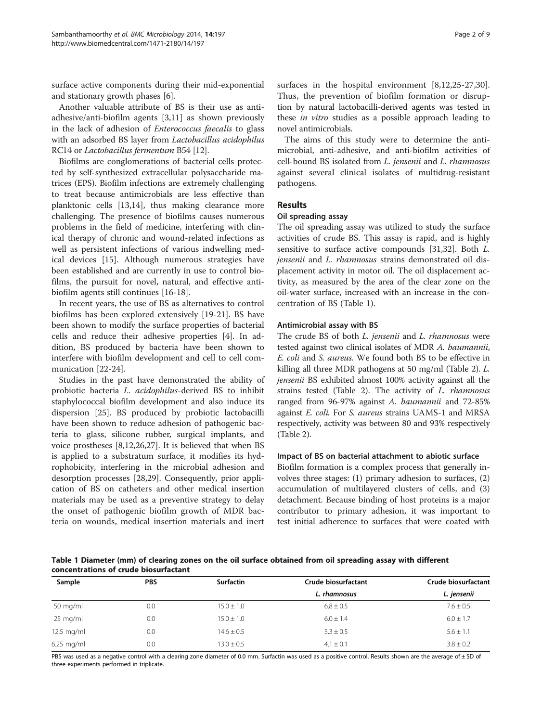surface active components during their mid-exponential and stationary growth phases [[6](#page-7-0)].

Another valuable attribute of BS is their use as antiadhesive/anti-biofilm agents [[3,11\]](#page-7-0) as shown previously in the lack of adhesion of Enterococcus faecalis to glass with an adsorbed BS layer from Lactobacillus acidophilus RC14 or Lactobacillus fermentum B54 [\[12\]](#page-7-0).

Biofilms are conglomerations of bacterial cells protected by self-synthesized extracellular polysaccharide matrices (EPS). Biofilm infections are extremely challenging to treat because antimicrobials are less effective than planktonic cells [[13](#page-7-0),[14](#page-7-0)], thus making clearance more challenging. The presence of biofilms causes numerous problems in the field of medicine, interfering with clinical therapy of chronic and wound-related infections as well as persistent infections of various indwelling medical devices [\[15\]](#page-7-0). Although numerous strategies have been established and are currently in use to control biofilms, the pursuit for novel, natural, and effective antibiofilm agents still continues [[16-18\]](#page-7-0).

In recent years, the use of BS as alternatives to control biofilms has been explored extensively [[19-21](#page-7-0)]. BS have been shown to modify the surface properties of bacterial cells and reduce their adhesive properties [[4](#page-7-0)]. In addition, BS produced by bacteria have been shown to interfere with biofilm development and cell to cell communication [\[22](#page-8-0)-[24\]](#page-8-0).

Studies in the past have demonstrated the ability of probiotic bacteria L. acidophilus-derived BS to inhibit staphylococcal biofilm development and also induce its dispersion [\[25](#page-8-0)]. BS produced by probiotic lactobacilli have been shown to reduce adhesion of pathogenic bacteria to glass, silicone rubber, surgical implants, and voice prostheses [[8,12,](#page-7-0)[26,27\]](#page-8-0). It is believed that when BS is applied to a substratum surface, it modifies its hydrophobicity, interfering in the microbial adhesion and desorption processes [[28,29\]](#page-8-0). Consequently, prior application of BS on catheters and other medical insertion materials may be used as a preventive strategy to delay the onset of pathogenic biofilm growth of MDR bacteria on wounds, medical insertion materials and inert surfaces in the hospital environment [[8,12](#page-7-0)[,25](#page-8-0)-[27,30](#page-8-0)]. Thus, the prevention of biofilm formation or disruption by natural lactobacilli-derived agents was tested in these in vitro studies as a possible approach leading to novel antimicrobials.

The aims of this study were to determine the antimicrobial, anti-adhesive, and anti-biofilm activities of cell-bound BS isolated from L. jensenii and L. rhamnosus against several clinical isolates of multidrug-resistant pathogens.

#### Results

#### Oil spreading assay

The oil spreading assay was utilized to study the surface activities of crude BS. This assay is rapid, and is highly sensitive to surface active compounds [[31,32\]](#page-8-0). Both L. jensenii and L. rhamnosus strains demonstrated oil displacement activity in motor oil. The oil displacement activity, as measured by the area of the clear zone on the oil-water surface, increased with an increase in the concentration of BS (Table 1).

#### Antimicrobial assay with BS

The crude BS of both *L. jensenii* and *L. rhamnosus* were tested against two clinical isolates of MDR A. baumannii, E. coli and S. aureus. We found both BS to be effective in killing all three MDR pathogens at 50 mg/ml (Table [2](#page-2-0)). L. jensenii BS exhibited almost 100% activity against all the strains tested (Table [2](#page-2-0)). The activity of L. rhamnosus ranged from 96-97% against A. baumannii and 72-85% against E. coli. For S. aureus strains UAMS-1 and MRSA respectively, activity was between 80 and 93% respectively (Table [2](#page-2-0)).

#### Impact of BS on bacterial attachment to abiotic surface

Biofilm formation is a complex process that generally involves three stages: (1) primary adhesion to surfaces, (2) accumulation of multilayered clusters of cells, and (3) detachment. Because binding of host proteins is a major contributor to primary adhesion, it was important to test initial adherence to surfaces that were coated with

Table 1 Diameter (mm) of clearing zones on the oil surface obtained from oil spreading assay with different concentrations of crude biosurfactant

| Sample             | <b>PBS</b> | <b>Surfactin</b> | Crude biosurfactant | Crude biosurfactant |  |
|--------------------|------------|------------------|---------------------|---------------------|--|
|                    |            |                  | L. rhamnosus        | L. jensenii         |  |
| $50 \text{ mg/ml}$ | 0.0        | $15.0 \pm 1.0$   | $6.8 \pm 0.5$       | $7.6 \pm 0.5$       |  |
| $25 \text{ mg/ml}$ | 0.0        | $15.0 \pm 1.0$   | $6.0 \pm 1.4$       | $6.0 \pm 1.7$       |  |
| $12.5$ mg/ml       | 0.0        | $14.6 \pm 0.5$   | $5.3 \pm 0.5$       | $5.6 \pm 1.1$       |  |
| $6.25$ mg/ml       | 0.0        | $13.0 \pm 0.5$   | $4.1 \pm 0.1$       | $3.8 \pm 0.2$       |  |

PBS was used as a negative control with a clearing zone diameter of 0.0 mm. Surfactin was used as a positive control. Results shown are the average of ± SD of three experiments performed in triplicate.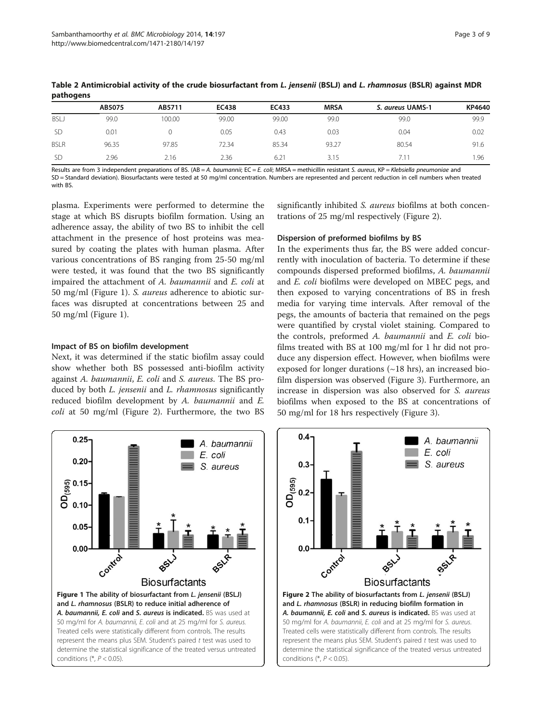|             | AB5075 | AB5711 | <b>EC438</b> | EC433 | <b>MRSA</b> | S. aureus UAMS-1 | KP4640 |
|-------------|--------|--------|--------------|-------|-------------|------------------|--------|
| BSLJ        | 99.0   | 100.00 | 99.00        | 99.00 | 99.0        | 99.0             | 99.9   |
| <b>SD</b>   | 0.01   |        | 0.05         | 0.43  | 0.03        | 0.04             | 0.02   |
| <b>BSLR</b> | 96.35  | 97.85  | 72.34        | 85.34 | 93.27       | 80.54            | 91.6   |
| <b>SD</b>   | 2.96   | 2.16   | 2.36         | 6.21  | 3.15        | $7.1^{\circ}$    | .96    |

<span id="page-2-0"></span>Table 2 Antimicrobial activity of the crude biosurfactant from L. jensenii (BSLJ) and L. rhamnosus (BSLR) against MDR pathogens

Results are from 3 independent preparations of BS. (AB = A. baumannii; EC = E. coli; MRSA = methicillin resistant S. aureus, KP = Klebsiella pneumoniae and SD = Standard deviation). Biosurfactants were tested at 50 mg/ml concentration. Numbers are represented and percent reduction in cell numbers when treated with BS.

plasma. Experiments were performed to determine the stage at which BS disrupts biofilm formation. Using an adherence assay, the ability of two BS to inhibit the cell attachment in the presence of host proteins was measured by coating the plates with human plasma. After various concentrations of BS ranging from 25-50 mg/ml were tested, it was found that the two BS significantly impaired the attachment of A. baumannii and E. coli at 50 mg/ml (Figure 1). S. aureus adherence to abiotic surfaces was disrupted at concentrations between 25 and 50 mg/ml (Figure 1).

#### Impact of BS on biofilm development

Next, it was determined if the static biofilm assay could show whether both BS possessed anti-biofilm activity against A. baumannii, E. coli and S. aureus. The BS produced by both *L. jensenii* and *L. rhamnosus* significantly reduced biofilm development by A. baumannii and E. coli at 50 mg/ml (Figure 2). Furthermore, the two BS significantly inhibited S. aureus biofilms at both concentrations of 25 mg/ml respectively (Figure 2).

#### Dispersion of preformed biofilms by BS

In the experiments thus far, the BS were added concurrently with inoculation of bacteria. To determine if these compounds dispersed preformed biofilms, A. baumannii and E. coli biofilms were developed on MBEC pegs, and then exposed to varying concentrations of BS in fresh media for varying time intervals. After removal of the pegs, the amounts of bacteria that remained on the pegs were quantified by crystal violet staining. Compared to the controls, preformed A. baumannii and E. coli biofilms treated with BS at 100 mg/ml for 1 hr did not produce any dispersion effect. However, when biofilms were exposed for longer durations  $(\sim 18$  hrs), an increased biofilm dispersion was observed (Figure [3](#page-3-0)). Furthermore, an increase in dispersion was also observed for S. aureus biofilms when exposed to the BS at concentrations of 50 mg/ml for 18 hrs respectively (Figure [3\)](#page-3-0).



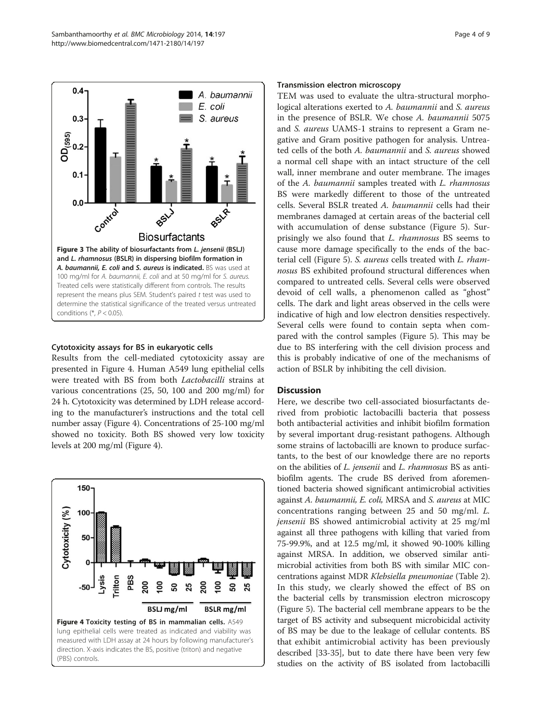

<span id="page-3-0"></span>

#### Cytotoxicity assays for BS in eukaryotic cells

Results from the cell-mediated cytotoxicity assay are presented in Figure 4. Human A549 lung epithelial cells were treated with BS from both Lactobacilli strains at various concentrations (25, 50, 100 and 200 mg/ml) for 24 h. Cytotoxicity was determined by LDH release according to the manufacturer's instructions and the total cell number assay (Figure 4). Concentrations of 25-100 mg/ml showed no toxicity. Both BS showed very low toxicity levels at 200 mg/ml (Figure 4).



#### Transmission electron microscopy

TEM was used to evaluate the ultra-structural morphological alterations exerted to A. baumannii and S. aureus in the presence of BSLR. We chose A. baumannii 5075 and S. aureus UAMS-1 strains to represent a Gram negative and Gram positive pathogen for analysis. Untreated cells of the both A. baumannii and S. aureus showed a normal cell shape with an intact structure of the cell wall, inner membrane and outer membrane. The images of the A. baumannii samples treated with L. rhamnosus BS were markedly different to those of the untreated cells. Several BSLR treated A. baumannii cells had their membranes damaged at certain areas of the bacterial cell with accumulation of dense substance (Figure [5](#page-4-0)). Surprisingly we also found that L. rhamnosus BS seems to cause more damage specifically to the ends of the bacterial cell (Figure [5\)](#page-4-0). S. aureus cells treated with L. rhamnosus BS exhibited profound structural differences when compared to untreated cells. Several cells were observed devoid of cell walls, a phenomenon called as "ghost" cells. The dark and light areas observed in the cells were indicative of high and low electron densities respectively. Several cells were found to contain septa when compared with the control samples (Figure [5](#page-4-0)). This may be due to BS interfering with the cell division process and this is probably indicative of one of the mechanisms of action of BSLR by inhibiting the cell division.

#### **Discussion**

Here, we describe two cell-associated biosurfactants derived from probiotic lactobacilli bacteria that possess both antibacterial activities and inhibit biofilm formation by several important drug-resistant pathogens. Although some strains of lactobacilli are known to produce surfactants, to the best of our knowledge there are no reports on the abilities of L. jensenii and L. rhamnosus BS as antibiofilm agents. The crude BS derived from aforementioned bacteria showed significant antimicrobial activities against A. baumannii, E. coli, MRSA and S. aureus at MIC concentrations ranging between 25 and 50 mg/ml. L. jensenii BS showed antimicrobial activity at 25 mg/ml against all three pathogens with killing that varied from 75-99.9%, and at 12.5 mg/ml, it showed 90-100% killing against MRSA. In addition, we observed similar antimicrobial activities from both BS with similar MIC concentrations against MDR Klebsiella pneumoniae (Table [2](#page-2-0)). In this study, we clearly showed the effect of BS on the bacterial cells by transmission electron microscopy (Figure [5](#page-4-0)). The bacterial cell membrane appears to be the target of BS activity and subsequent microbicidal activity of BS may be due to the leakage of cellular contents. BS that exhibit antimicrobial activity has been previously described [\[33-35\]](#page-8-0), but to date there have been very few studies on the activity of BS isolated from lactobacilli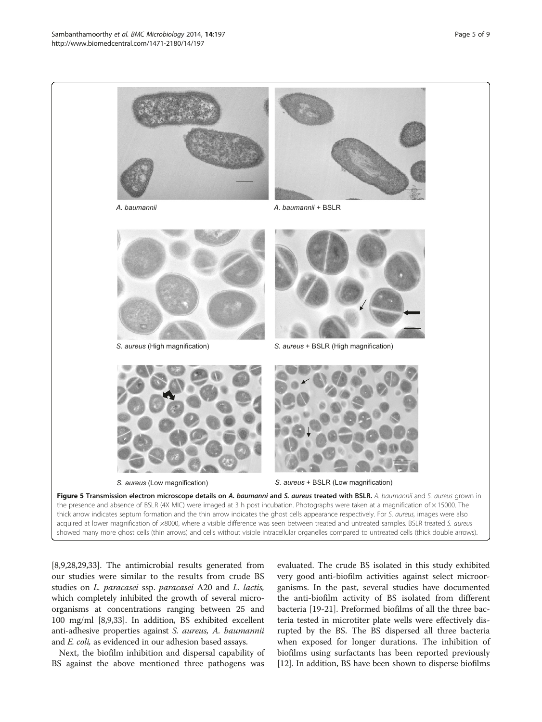<span id="page-4-0"></span>

[[8,9](#page-7-0),[28,29,33\]](#page-8-0). The antimicrobial results generated from our studies were similar to the results from crude BS studies on L. paracasei ssp. paracasei A20 and L. lactis, which completely inhibited the growth of several microorganisms at concentrations ranging between 25 and 100 mg/ml [\[8,9,](#page-7-0)[33](#page-8-0)]. In addition, BS exhibited excellent anti-adhesive properties against S. aureus, A. baumannii and *E. coli*, as evidenced in our adhesion based assays.

Next, the biofilm inhibition and dispersal capability of BS against the above mentioned three pathogens was

evaluated. The crude BS isolated in this study exhibited very good anti-biofilm activities against select microorganisms. In the past, several studies have documented the anti-biofilm activity of BS isolated from different bacteria [\[19](#page-7-0)-[21](#page-7-0)]. Preformed biofilms of all the three bacteria tested in microtiter plate wells were effectively disrupted by the BS. The BS dispersed all three bacteria when exposed for longer durations. The inhibition of biofilms using surfactants has been reported previously [[12](#page-7-0)]. In addition, BS have been shown to disperse biofilms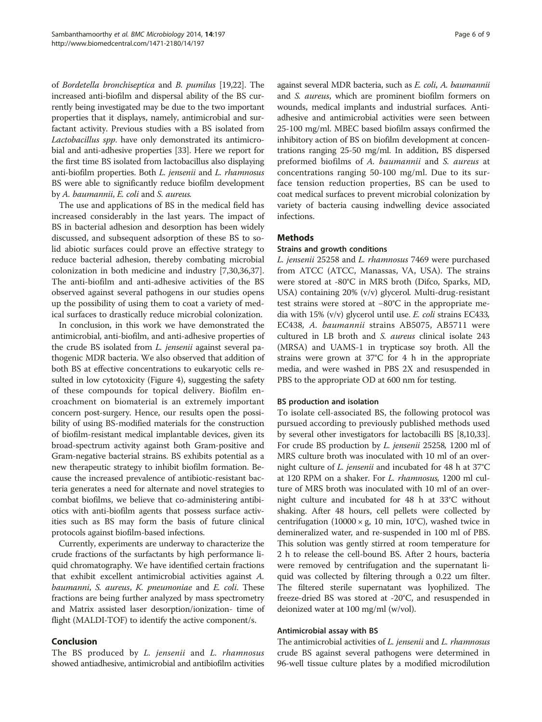of Bordetella bronchiseptica and B. pumilus [\[19,](#page-7-0)[22](#page-8-0)]. The increased anti-biofilm and dispersal ability of the BS currently being investigated may be due to the two important properties that it displays, namely, antimicrobial and surfactant activity. Previous studies with a BS isolated from Lactobacillus spp. have only demonstrated its antimicrobial and anti-adhesive properties [\[33\]](#page-8-0). Here we report for the first time BS isolated from lactobacillus also displaying anti-biofilm properties. Both L. jensenii and L. rhamnosus BS were able to significantly reduce biofilm development by A. baumannii, E. coli and S. aureus.

The use and applications of BS in the medical field has increased considerably in the last years. The impact of BS in bacterial adhesion and desorption has been widely discussed, and subsequent adsorption of these BS to solid abiotic surfaces could prove an effective strategy to reduce bacterial adhesion, thereby combating microbial colonization in both medicine and industry [\[7](#page-7-0)[,30,36,37](#page-8-0)]. The anti-biofilm and anti-adhesive activities of the BS observed against several pathogens in our studies opens up the possibility of using them to coat a variety of medical surfaces to drastically reduce microbial colonization.

In conclusion, in this work we have demonstrated the antimicrobial, anti-biofilm, and anti-adhesive properties of the crude BS isolated from L. jensenii against several pathogenic MDR bacteria. We also observed that addition of both BS at effective concentrations to eukaryotic cells resulted in low cytotoxicity (Figure [4\)](#page-3-0), suggesting the safety of these compounds for topical delivery. Biofilm encroachment on biomaterial is an extremely important concern post-surgery. Hence, our results open the possibility of using BS-modified materials for the construction of biofilm-resistant medical implantable devices, given its broad-spectrum activity against both Gram-positive and Gram-negative bacterial strains. BS exhibits potential as a new therapeutic strategy to inhibit biofilm formation. Because the increased prevalence of antibiotic-resistant bacteria generates a need for alternate and novel strategies to combat biofilms, we believe that co-administering antibiotics with anti-biofilm agents that possess surface activities such as BS may form the basis of future clinical protocols against biofilm-based infections.

Currently, experiments are underway to characterize the crude fractions of the surfactants by high performance liquid chromatography. We have identified certain fractions that exhibit excellent antimicrobial activities against A. baumanni, S. aureus, K. pneumoniae and E. coli. These fractions are being further analyzed by mass spectrometry and Matrix assisted laser desorption/ionization- time of flight (MALDI-TOF) to identify the active component/s.

#### Conclusion

The BS produced by *L. jensenii* and *L. rhamnosus* showed antiadhesive, antimicrobial and antibiofilm activities

against several MDR bacteria, such as E. coli, A. baumannii and S. aureus, which are prominent biofilm formers on wounds, medical implants and industrial surfaces. Antiadhesive and antimicrobial activities were seen between 25-100 mg/ml. MBEC based biofilm assays confirmed the inhibitory action of BS on biofilm development at concentrations ranging 25-50 mg/ml. In addition, BS dispersed preformed biofilms of A. baumannii and S. aureus at concentrations ranging 50-100 mg/ml. Due to its surface tension reduction properties, BS can be used to coat medical surfaces to prevent microbial colonization by variety of bacteria causing indwelling device associated infections.

#### Methods

#### Strains and growth conditions

L. jensenii 25258 and L. rhamnosus 7469 were purchased from ATCC (ATCC, Manassas, VA, USA). The strains were stored at -80°C in MRS broth (Difco, Sparks, MD, USA) containing 20% (v/v) glycerol. Multi-drug-resistant test strains were stored at −80°C in the appropriate media with 15%  $(v/v)$  glycerol until use. E. coli strains EC433, EC438, A. baumannii strains AB5075, AB5711 were cultured in LB broth and S. aureus clinical isolate 243 (MRSA) and UAMS-1 in trypticase soy broth. All the strains were grown at 37°C for 4 h in the appropriate media, and were washed in PBS 2X and resuspended in PBS to the appropriate OD at 600 nm for testing.

#### BS production and isolation

To isolate cell-associated BS, the following protocol was pursued according to previously published methods used by several other investigators for lactobacilli BS [\[8,10,](#page-7-0)[33](#page-8-0)]. For crude BS production by L. jensenii 25258, 1200 ml of MRS culture broth was inoculated with 10 ml of an overnight culture of L. jensenii and incubated for 48 h at 37°C at 120 RPM on a shaker. For L. rhamnosus, 1200 ml culture of MRS broth was inoculated with 10 ml of an overnight culture and incubated for 48 h at 33°C without shaking. After 48 hours, cell pellets were collected by centrifugation (10000 × g, 10 min, 10°C), washed twice in demineralized water, and re-suspended in 100 ml of PBS. This solution was gently stirred at room temperature for 2 h to release the cell-bound BS. After 2 hours, bacteria were removed by centrifugation and the supernatant liquid was collected by filtering through a 0.22 um filter. The filtered sterile supernatant was lyophilized. The freeze-dried BS was stored at -20°C, and resuspended in deionized water at 100 mg/ml (w/vol).

#### Antimicrobial assay with BS

The antimicrobial activities of L. jensenii and L. rhamnosus crude BS against several pathogens were determined in 96-well tissue culture plates by a modified microdilution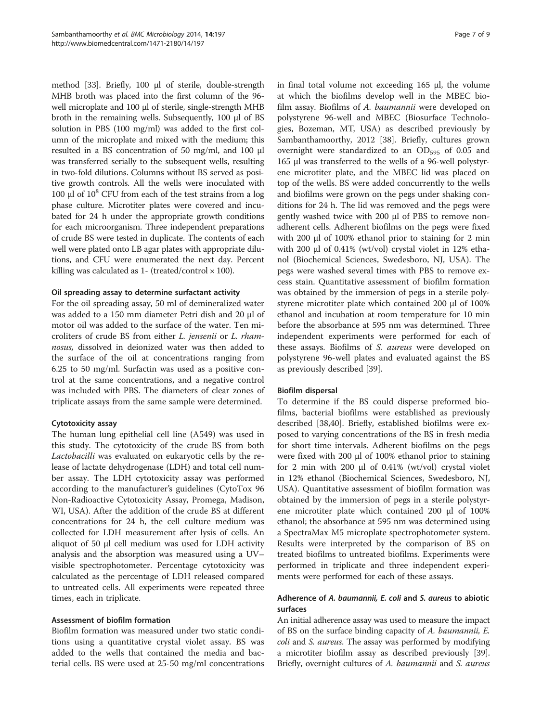method [\[33\]](#page-8-0). Briefly, 100 μl of sterile, double-strength MHB broth was placed into the first column of the 96 well microplate and 100 μl of sterile, single-strength MHB broth in the remaining wells. Subsequently, 100 μl of BS solution in PBS (100 mg/ml) was added to the first column of the microplate and mixed with the medium; this resulted in a BS concentration of 50 mg/ml, and 100 μl was transferred serially to the subsequent wells, resulting in two-fold dilutions. Columns without BS served as positive growth controls. All the wells were inoculated with 100 μl of  $10<sup>8</sup>$  CFU from each of the test strains from a log phase culture. Microtiter plates were covered and incubated for 24 h under the appropriate growth conditions for each microorganism. Three independent preparations of crude BS were tested in duplicate. The contents of each well were plated onto LB agar plates with appropriate dilutions, and CFU were enumerated the next day. Percent killing was calculated as  $1-$  (treated/control  $\times$  100).

#### Oil spreading assay to determine surfactant activity

For the oil spreading assay, 50 ml of demineralized water was added to a 150 mm diameter Petri dish and 20 μl of motor oil was added to the surface of the water. Ten microliters of crude BS from either L. jensenii or L. rhamnosus, dissolved in deionized water was then added to the surface of the oil at concentrations ranging from 6.25 to 50 mg/ml. Surfactin was used as a positive control at the same concentrations, and a negative control was included with PBS. The diameters of clear zones of triplicate assays from the same sample were determined.

#### Cytotoxicity assay

The human lung epithelial cell line (A549) was used in this study. The cytotoxicity of the crude BS from both Lactobacilli was evaluated on eukaryotic cells by the release of lactate dehydrogenase (LDH) and total cell number assay. The LDH cytotoxicity assay was performed according to the manufacturer's guidelines (CytoTox 96 Non-Radioactive Cytotoxicity Assay, Promega, Madison, WI, USA). After the addition of the crude BS at different concentrations for 24 h, the cell culture medium was collected for LDH measurement after lysis of cells. An aliquot of 50 μl cell medium was used for LDH activity analysis and the absorption was measured using a UV– visible spectrophotometer. Percentage cytotoxicity was calculated as the percentage of LDH released compared to untreated cells. All experiments were repeated three times, each in triplicate.

#### Assessment of biofilm formation

Biofilm formation was measured under two static conditions using a quantitative crystal violet assay. BS was added to the wells that contained the media and bacterial cells. BS were used at 25-50 mg/ml concentrations in final total volume not exceeding 165 μl, the volume at which the biofilms develop well in the MBEC biofilm assay. Biofilms of A. baumannii were developed on polystyrene 96-well and MBEC (Biosurface Technologies, Bozeman, MT, USA) as described previously by Sambanthamoorthy, 2012 [[38](#page-8-0)]. Briefly, cultures grown overnight were standardized to an  $OD_{595}$  of 0.05 and 165 μl was transferred to the wells of a 96-well polystyrene microtiter plate, and the MBEC lid was placed on top of the wells. BS were added concurrently to the wells and biofilms were grown on the pegs under shaking conditions for 24 h. The lid was removed and the pegs were gently washed twice with 200 μl of PBS to remove nonadherent cells. Adherent biofilms on the pegs were fixed with 200 μl of 100% ethanol prior to staining for 2 min with 200 μl of 0.41% (wt/vol) crystal violet in 12% ethanol (Biochemical Sciences, Swedesboro, NJ, USA). The pegs were washed several times with PBS to remove excess stain. Quantitative assessment of biofilm formation was obtained by the immersion of pegs in a sterile polystyrene microtiter plate which contained 200 μl of 100% ethanol and incubation at room temperature for 10 min before the absorbance at 595 nm was determined. Three independent experiments were performed for each of these assays. Biofilms of S. aureus were developed on polystyrene 96-well plates and evaluated against the BS as previously described [\[39](#page-8-0)].

#### Biofilm dispersal

To determine if the BS could disperse preformed biofilms, bacterial biofilms were established as previously described [\[38,40\]](#page-8-0). Briefly, established biofilms were exposed to varying concentrations of the BS in fresh media for short time intervals. Adherent biofilms on the pegs were fixed with 200 μl of 100% ethanol prior to staining for 2 min with 200 μl of 0.41% (wt/vol) crystal violet in 12% ethanol (Biochemical Sciences, Swedesboro, NJ, USA). Quantitative assessment of biofilm formation was obtained by the immersion of pegs in a sterile polystyrene microtiter plate which contained 200 μl of 100% ethanol; the absorbance at 595 nm was determined using a SpectraMax M5 microplate spectrophotometer system. Results were interpreted by the comparison of BS on treated biofilms to untreated biofilms. Experiments were performed in triplicate and three independent experiments were performed for each of these assays.

#### Adherence of A. baumannii, E. coli and S. aureus to abiotic surfaces

An initial adherence assay was used to measure the impact of BS on the surface binding capacity of A. baumannii, E. coli and S. aureus. The assay was performed by modifying a microtiter biofilm assay as described previously [[39](#page-8-0)]. Briefly, overnight cultures of A. baumannii and S. aureus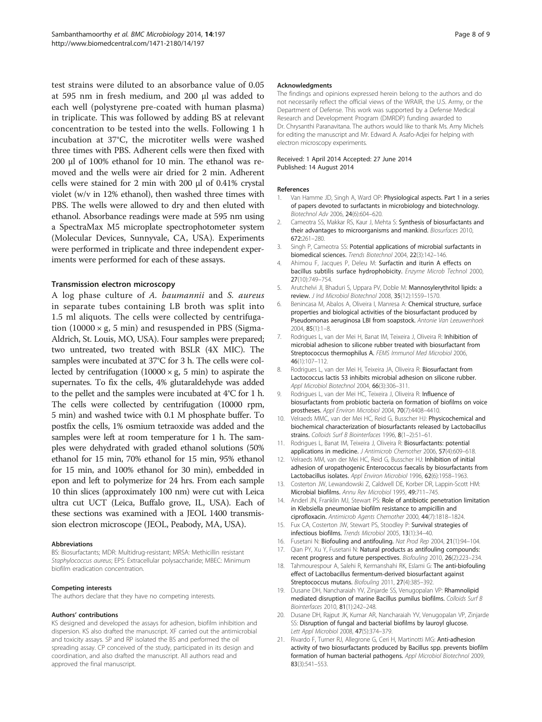<span id="page-7-0"></span>test strains were diluted to an absorbance value of 0.05 at 595 nm in fresh medium, and 200 μl was added to each well (polystyrene pre-coated with human plasma) in triplicate. This was followed by adding BS at relevant concentration to be tested into the wells. Following 1 h incubation at 37°C, the microtiter wells were washed three times with PBS. Adherent cells were then fixed with 200 μl of 100% ethanol for 10 min. The ethanol was removed and the wells were air dried for 2 min. Adherent cells were stained for 2 min with 200 μl of 0.41% crystal violet (w/v in 12% ethanol), then washed three times with PBS. The wells were allowed to dry and then eluted with ethanol. Absorbance readings were made at 595 nm using a SpectraMax M5 microplate spectrophotometer system (Molecular Devices, Sunnyvale, CA, USA). Experiments were performed in triplicate and three independent experiments were performed for each of these assays.

#### Transmission electron microscopy

A log phase culture of A. baumannii and S. aureus in separate tubes containing LB broth was split into 1.5 ml aliquots. The cells were collected by centrifugation  $(10000 \times g, 5 \text{ min})$  and resuspended in PBS (Sigma-Aldrich, St. Louis, MO, USA). Four samples were prepared; two untreated, two treated with BSLR (4X MIC). The samples were incubated at 37°C for 3 h. The cells were collected by centrifugation  $(10000 \times g, 5 \text{ min})$  to aspirate the supernates. To fix the cells, 4% glutaraldehyde was added to the pellet and the samples were incubated at 4°C for 1 h. The cells were collected by centrifugation (10000 rpm, 5 min) and washed twice with 0.1 M phosphate buffer. To postfix the cells, 1% osmium tetraoxide was added and the samples were left at room temperature for 1 h. The samples were dehydrated with graded ethanol solutions (50% ethanol for 15 min, 70% ethanol for 15 min, 95% ethanol for 15 min, and 100% ethanol for 30 min), embedded in epon and left to polymerize for 24 hrs. From each sample 10 thin slices (approximately 100 nm) were cut with Leica ultra cut UCT (Leica, Buffalo grove, IL, USA). Each of these sections was examined with a JEOL 1400 transmission electron microscope (JEOL, Peabody, MA, USA).

#### Abbreviations

BS: Biosurfactants; MDR: Multidrug-resistant; MRSA: Methicillin resistant Staphylococcus aureus; EPS: Extracellular polysaccharide; MBEC: Minimum biofilm eradication concentration.

#### Competing interests

The authors declare that they have no competing interests.

#### Authors' contributions

KS designed and developed the assays for adhesion, biofilm inhibition and dispersion. KS also drafted the manuscript. XF carried out the antimicrobial and toxicity assays. SP and RP isolated the BS and performed the oil spreading assay. CP conceived of the study, participated in its design and coordination, and also drafted the manuscript. All authors read and approved the final manuscript.

#### Acknowledgments

The findings and opinions expressed herein belong to the authors and do not necessarily reflect the official views of the WRAIR, the U.S. Army, or the Department of Defense. This work was supported by a Defense Medical Research and Development Program (DMRDP) funding awarded to Dr. Chrysanthi Paranavitana. The authors would like to thank Ms. Amy Michels for editing the manuscript and Mr. Edward A. Asafo-Adjei for helping with electron microscopy experiments.

#### Received: 1 April 2014 Accepted: 27 June 2014 Published: 14 August 2014

#### References

- 1. Van Hamme JD, Singh A, Ward OP: Physiological aspects. Part 1 in a series of papers devoted to surfactants in microbiology and biotechnology. Biotechnol Adv 2006, 24(6):604–620.
- 2. Cameotra SS, Makkar RS, Kaur J, Mehta S: Synthesis of biosurfactants and their advantages to microorganisms and mankind. Biosurfaces 2010, 672:261–280.
- 3. Singh P, Cameotra SS: Potential applications of microbial surfactants in biomedical sciences. Trends Biotechnol 2004, 22(3):142–146.
- 4. Ahimou F, Jacques P, Deleu M: Surfactin and iturin A effects on bacillus subtilis surface hydrophobicity. Enzyme Microb Technol 2000, 27(10):749–754.
- 5. Arutchelvi Jl, Bhaduri S, Uppara PV, Doble M: Mannosylerythritol lipids: a review. J Ind Microbiol Biotechnol 2008, 35(12):1559–1570.
- 6. Benincasa M, Abalos A, Oliveira I, Manresa A: Chemical structure, surface properties and biological activities of the biosurfactant produced by Pseudomonas aeruginosa LBI from soapstock. Antonie Van Leeuwenhoek 2004, 85(1):1–8.
- 7. Rodrigues L, van der Mei H, Banat IM, Teixeira J, Oliveira R: Inhibition of microbial adhesion to silicone rubber treated with biosurfactant from Streptococcus thermophilus A. FEMS Immunol Med Microbiol 2006, 46(1):107–112.
- 8. Rodrigues L, van der Mei H, Teixeira JA, Oliveira R: Biosurfactant from Lactococcus lactis 53 inhibits microbial adhesion on silicone rubber. Appl Microbiol Biotechnol 2004, 66(3):306–311.
- 9. Rodrigues L, van der Mei HC, Teixeira J, Oliveira R: Influence of biosurfactants from probiotic bacteria on formation of biofilms on voice prostheses. Appl Environ Microbiol 2004, 70(7):4408–4410.
- 10. Velraeds MMC, van der Mei HC, Reid G, Busscher HJ: Physicochemical and biochemical characterization of biosurfactants released by Lactobacillus strains. Colloids Surf B Biointerfaces 1996, 8(1-2):51-61.
- 11. Rodrigues L, Banat IM, Teixeira J, Oliveira R: Biosurfactants: potential applications in medicine. J Antimicrob Chemother 2006, 57(4):609–618.
- 12. Velraeds MM, van der Mei HC, Reid G, Busscher HJ: Inhibition of initial adhesion of uropathogenic Enterococcus faecalis by biosurfactants from Lactobacillus isolates. Appl Environ Microbiol 1996, 62(6):1958–1963.
- 13. Costerton JW, Lewandowski Z, Caldwell DE, Korber DR, Lappin-Scott HM: Microbial biofilms. Annu Rev Microbiol 1995, 49:711–745.
- 14. Anderl JN, Franklin MJ, Stewart PS: Role of antibiotic penetration limitation in Klebsiella pneumoniae biofilm resistance to ampicillin and ciprofloxacin. Antimicrob Agents Chemother 2000, 44(7):1818–1824.
- 15. Fux CA, Costerton JW, Stewart PS, Stoodley P: Survival strategies of infectious biofilms. Trends Microbiol 2005, 13(1):34–40.
- 16. Fusetani N: Biofouling and antifouling. Nat Prod Rep 2004, 21(1):94-104.
- 17. Qian PY, Xu Y, Fusetani N: Natural products as antifouling compounds: recent progress and future perspectives. Biofouling 2010, 26(2):223–234.
- 18. Tahmourespour A, Salehi R, Kermanshahi RK, Eslami G: The anti-biofouling effect of Lactobacillus fermentum-derived biosurfactant against Streptococcus mutans. Biofouling 2011, 27(4):385–392.
- 19. Dusane DH, Nancharaiah YV, Zinjarde SS, Venugopalan VP: Rhamnolipid mediated disruption of marine Bacillus pumilus biofilms. Colloids Surf B Biointerfaces 2010, 81(1):242–248.
- 20. Dusane DH, Rajput JK, Kumar AR, Nancharaiah YV, Venugopalan VP, Zinjarde SS: Disruption of fungal and bacterial biofilms by lauroyl glucose. Lett Appl Microbiol 2008, 47(5):374–379.
- 21. Rivardo F, Turner RJ, Allegrone G, Ceri H, Martinotti MG: Anti-adhesion activity of two biosurfactants produced by Bacillus spp. prevents biofilm formation of human bacterial pathogens. Appl Microbiol Biotechnol 2009, 83(3):541–553.